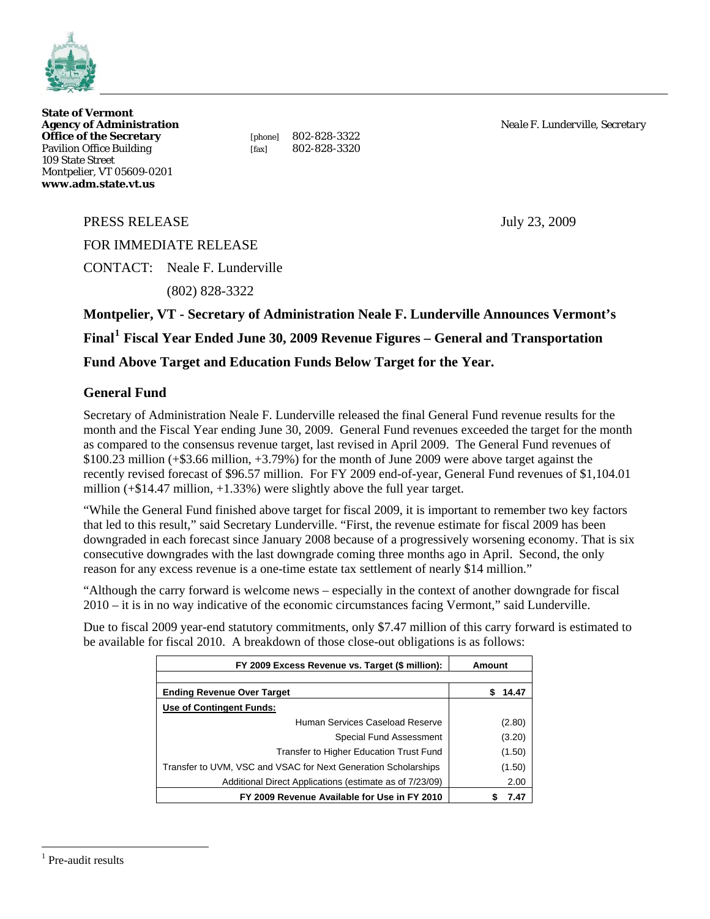

**State of Vermont Office of the Secretary** [phone] 802-828-3322<br>Pavilion Office Building [fax] 802-828-3320 Pavilion Office Building [fax] 109 State Street Montpelier, VT 05609-0201 **www.adm.state.vt.us** 

**Agency of Administration** *Neale F. Lunderville, Secretary*

PRESS RELEASE July 23, 2009

FOR IMMEDIATE RELEASE

CONTACT: Neale F. Lunderville

(802) 828-3322

**Montpelier, VT - Secretary of Administration Neale F. Lunderville Announces Vermont's Final[1](#page-0-0) Fiscal Year Ended June 30, 2009 Revenue Figures – General and Transportation** 

**Fund Above Target and Education Funds Below Target for the Year.** 

# **General Fund**

Secretary of Administration Neale F. Lunderville released the final General Fund revenue results for the month and the Fiscal Year ending June 30, 2009. General Fund revenues exceeded the target for the month as compared to the consensus revenue target, last revised in April 2009. The General Fund revenues of \$100.23 million (+\$3.66 million, +3.79%) for the month of June 2009 were above target against the recently revised forecast of \$96.57 million. For FY 2009 end-of-year, General Fund revenues of \$1,104.01 million  $(+\$14.47$  million,  $+1.33\%$ ) were slightly above the full year target.

"While the General Fund finished above target for fiscal 2009, it is important to remember two key factors that led to this result," said Secretary Lunderville. "First, the revenue estimate for fiscal 2009 has been downgraded in each forecast since January 2008 because of a progressively worsening economy. That is six consecutive downgrades with the last downgrade coming three months ago in April. Second, the only reason for any excess revenue is a one-time estate tax settlement of nearly \$14 million."

"Although the carry forward is welcome news – especially in the context of another downgrade for fiscal 2010 – it is in no way indicative of the economic circumstances facing Vermont," said Lunderville.

Due to fiscal 2009 year-end statutory commitments, only \$7.47 million of this carry forward is estimated to be available for fiscal 2010. A breakdown of those close-out obligations is as follows:

| FY 2009 Excess Revenue vs. Target (\$ million):                | Amount     |  |
|----------------------------------------------------------------|------------|--|
|                                                                |            |  |
| <b>Ending Revenue Over Target</b>                              | 14.47<br>S |  |
| Use of Contingent Funds:                                       |            |  |
| Human Services Caseload Reserve                                | (2.80)     |  |
| Special Fund Assessment                                        | (3.20)     |  |
| Transfer to Higher Education Trust Fund                        | (1.50)     |  |
| Transfer to UVM, VSC and VSAC for Next Generation Scholarships | (1.50)     |  |
| Additional Direct Applications (estimate as of 7/23/09)        | 2.00       |  |
| FY 2009 Revenue Available for Use in FY 2010                   | 7.47       |  |

<span id="page-0-0"></span><sup>1</sup> Pre-audit results

 $\overline{a}$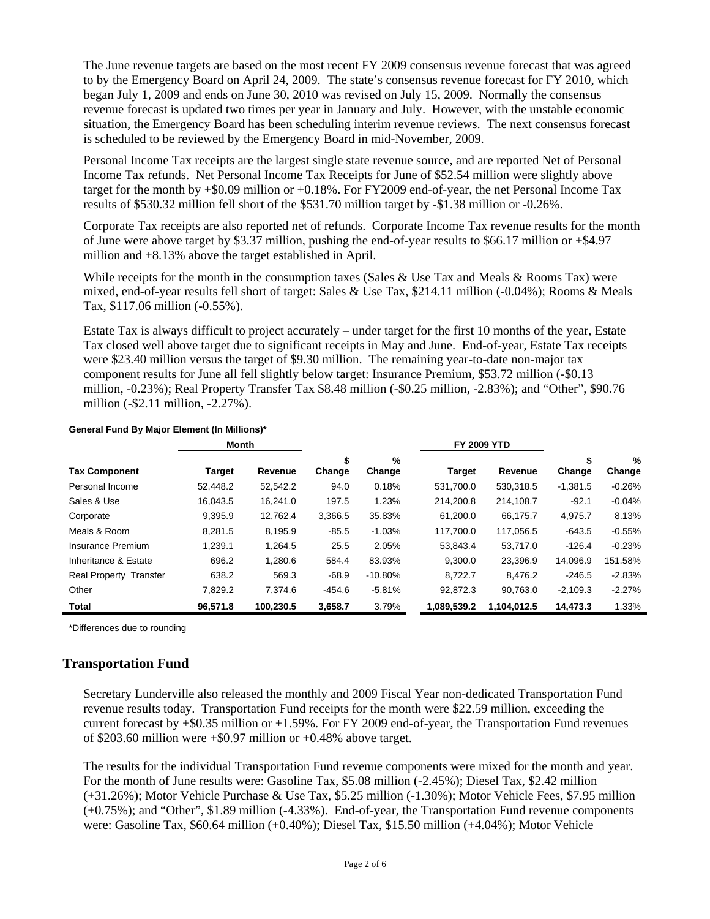The June revenue targets are based on the most recent FY 2009 consensus revenue forecast that was agreed to by the Emergency Board on April 24, 2009. The state's consensus revenue forecast for FY 2010, which began July 1, 2009 and ends on June 30, 2010 was revised on July 15, 2009. Normally the consensus revenue forecast is updated two times per year in January and July. However, with the unstable economic situation, the Emergency Board has been scheduling interim revenue reviews. The next consensus forecast is scheduled to be reviewed by the Emergency Board in mid-November, 2009.

Personal Income Tax receipts are the largest single state revenue source, and are reported Net of Personal Income Tax refunds. Net Personal Income Tax Receipts for June of \$52.54 million were slightly above target for the month by +\$0.09 million or +0.18%. For FY2009 end-of-year, the net Personal Income Tax results of \$530.32 million fell short of the \$531.70 million target by -\$1.38 million or -0.26%.

Corporate Tax receipts are also reported net of refunds. Corporate Income Tax revenue results for the month of June were above target by \$3.37 million, pushing the end-of-year results to \$66.17 million or +\$4.97 million and +8.13% above the target established in April.

While receipts for the month in the consumption taxes (Sales & Use Tax and Meals & Rooms Tax) were mixed, end-of-year results fell short of target: Sales & Use Tax, \$214.11 million (-0.04%); Rooms & Meals Tax, \$117.06 million (-0.55%).

Estate Tax is always difficult to project accurately – under target for the first 10 months of the year, Estate Tax closed well above target due to significant receipts in May and June. End-of-year, Estate Tax receipts were \$23.40 million versus the target of \$9.30 million. The remaining year-to-date non-major tax component results for June all fell slightly below target: Insurance Premium, \$53.72 million (-\$0.13 million, -0.23%); Real Property Transfer Tax \$8.48 million (-\$0.25 million, -2.83%); and "Other", \$90.76 million (-\$2.11 million, -2.27%).

|                        | Month    |           |              |             | <b>FY 2009 YTD</b> |             |              |             |
|------------------------|----------|-----------|--------------|-------------|--------------------|-------------|--------------|-------------|
| <b>Tax Component</b>   | Target   | Revenue   | \$<br>Change | %<br>Change | <b>Target</b>      | Revenue     | \$<br>Change | %<br>Change |
| Personal Income        | 52,448.2 | 52,542.2  | 94.0         | 0.18%       | 531,700.0          | 530,318.5   | $-1,381.5$   | $-0.26%$    |
| Sales & Use            | 16.043.5 | 16.241.0  | 197.5        | 1.23%       | 214.200.8          | 214,108.7   | $-92.1$      | $-0.04%$    |
| Corporate              | 9,395.9  | 12,762.4  | 3,366.5      | 35.83%      | 61,200.0           | 66,175.7    | 4,975.7      | 8.13%       |
| Meals & Room           | 8.281.5  | 8.195.9   | $-85.5$      | $-1.03%$    | 117,700.0          | 117,056.5   | $-643.5$     | $-0.55%$    |
| Insurance Premium      | 1,239.1  | 1,264.5   | 25.5         | 2.05%       | 53,843.4           | 53,717.0    | $-126.4$     | $-0.23%$    |
| Inheritance & Estate   | 696.2    | 1,280.6   | 584.4        | 83.93%      | 9.300.0            | 23,396.9    | 14.096.9     | 151.58%     |
| Real Property Transfer | 638.2    | 569.3     | $-68.9$      | $-10.80%$   | 8,722.7            | 8,476.2     | $-246.5$     | $-2.83%$    |
| Other                  | 7.829.2  | 7.374.6   | $-454.6$     | $-5.81%$    | 92,872.3           | 90.763.0    | $-2,109.3$   | $-2.27%$    |
| Total                  | 96.571.8 | 100.230.5 | 3,658.7      | 3.79%       | 1.089.539.2        | 1.104.012.5 | 14.473.3     | 1.33%       |

#### **General Fund By Major Element (In Millions)\***

\*Differences due to rounding

## **Transportation Fund**

Secretary Lunderville also released the monthly and 2009 Fiscal Year non-dedicated Transportation Fund revenue results today. Transportation Fund receipts for the month were \$22.59 million, exceeding the current forecast by +\$0.35 million or +1.59%. For FY 2009 end-of-year, the Transportation Fund revenues of \$203.60 million were +\$0.97 million or +0.48% above target.

The results for the individual Transportation Fund revenue components were mixed for the month and year. For the month of June results were: Gasoline Tax, \$5.08 million (-2.45%); Diesel Tax, \$2.42 million (+31.26%); Motor Vehicle Purchase & Use Tax, \$5.25 million (-1.30%); Motor Vehicle Fees, \$7.95 million (+0.75%); and "Other", \$1.89 million (-4.33%). End-of-year, the Transportation Fund revenue components were: Gasoline Tax, \$60.64 million (+0.40%); Diesel Tax, \$15.50 million (+4.04%); Motor Vehicle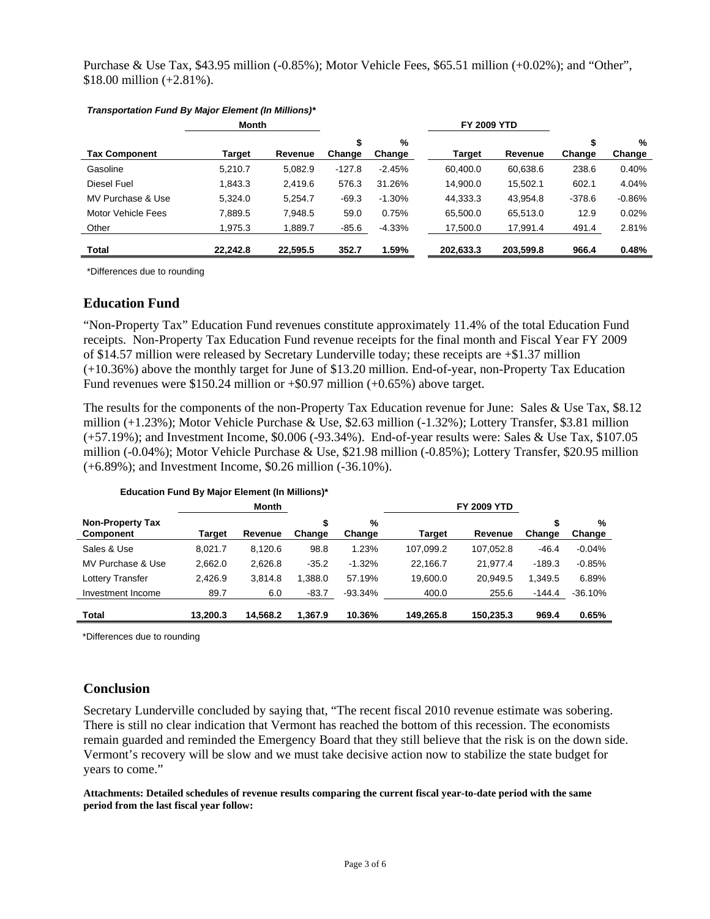Purchase & Use Tax, \$43.95 million (-0.85%); Motor Vehicle Fees, \$65.51 million (+0.02%); and "Other", \$18.00 million (+2.81%).

|                      | Month    |          | <b>FY 2009 YTD</b> |             |           |           |              |             |
|----------------------|----------|----------|--------------------|-------------|-----------|-----------|--------------|-------------|
| <b>Tax Component</b> | Target   | Revenue  | \$<br>Change       | %<br>Change | Target    | Revenue   | \$<br>Change | %<br>Change |
| Gasoline             | 5,210.7  | 5,082.9  | $-127.8$           | $-2.45%$    | 60.400.0  | 60,638.6  | 238.6        | 0.40%       |
| Diesel Fuel          | 1,843.3  | 2,419.6  | 576.3              | 31.26%      | 14,900.0  | 15,502.1  | 602.1        | 4.04%       |
| MV Purchase & Use    | 5.324.0  | 5,254.7  | $-69.3$            | $-1.30%$    | 44,333.3  | 43.954.8  | $-378.6$     | $-0.86%$    |
| Motor Vehicle Fees   | 7,889.5  | 7,948.5  | 59.0               | 0.75%       | 65,500.0  | 65,513.0  | 12.9         | 0.02%       |
| Other                | 1,975.3  | 1,889.7  | $-85.6$            | $-4.33%$    | 17,500.0  | 17,991.4  | 491.4        | 2.81%       |
| Total                | 22.242.8 | 22,595.5 | 352.7              | 1.59%       | 202.633.3 | 203,599.8 | 966.4        | 0.48%       |

#### *Transportation Fund By Major Element (In Millions)\**

\*Differences due to rounding

#### **Education Fund**

"Non-Property Tax" Education Fund revenues constitute approximately 11.4% of the total Education Fund receipts. Non-Property Tax Education Fund revenue receipts for the final month and Fiscal Year FY 2009 of \$14.57 million were released by Secretary Lunderville today; these receipts are +\$1.37 million (+10.36%) above the monthly target for June of \$13.20 million. End-of-year, non-Property Tax Education Fund revenues were \$150.24 million or +\$0.97 million (+0.65%) above target.

The results for the components of the non-Property Tax Education revenue for June: Sales & Use Tax, \$8.12 million (+1.23%); Motor Vehicle Purchase & Use, \$2.63 million (-1.32%); Lottery Transfer, \$3.81 million (+57.19%); and Investment Income, \$0.006 (-93.34%). End-of-year results were: Sales & Use Tax, \$107.05 million (-0.04%); Motor Vehicle Purchase & Use, \$21.98 million (-0.85%); Lottery Transfer, \$20.95 million (+6.89%); and Investment Income, \$0.26 million (-36.10%).

| $=$ $\frac{1}{2}$ $\frac{1}{2}$ $\frac{1}{2}$ $\frac{1}{2}$ $\frac{1}{2}$ $\frac{1}{2}$ $\frac{1}{2}$ $\frac{1}{2}$ $\frac{1}{2}$ $\frac{1}{2}$ $\frac{1}{2}$ $\frac{1}{2}$ $\frac{1}{2}$ $\frac{1}{2}$ $\frac{1}{2}$ $\frac{1}{2}$ $\frac{1}{2}$ $\frac{1}{2}$ $\frac{1}{2}$ $\frac{1}{2}$ $\frac{1}{2}$ $\frac{1}{2$ |               |          |         |           |           |                    |          |           |
|------------------------------------------------------------------------------------------------------------------------------------------------------------------------------------------------------------------------------------------------------------------------------------------------------------------------|---------------|----------|---------|-----------|-----------|--------------------|----------|-----------|
|                                                                                                                                                                                                                                                                                                                        |               | Month    |         |           |           | <b>FY 2009 YTD</b> |          |           |
| <b>Non-Property Tax</b>                                                                                                                                                                                                                                                                                                |               |          |         | %         |           |                    |          | %         |
| <b>Component</b>                                                                                                                                                                                                                                                                                                       | <b>Target</b> | Revenue  | Change  | Change    | Target    | Revenue            | Change   | Change    |
| Sales & Use                                                                                                                                                                                                                                                                                                            | 8.021.7       | 8,120.6  | 98.8    | 1.23%     | 107,099.2 | 107,052.8          | $-46.4$  | $-0.04%$  |
| MV Purchase & Use                                                                                                                                                                                                                                                                                                      | 2.662.0       | 2.626.8  | $-35.2$ | $-1.32%$  | 22.166.7  | 21.977.4           | $-189.3$ | $-0.85%$  |
| Lottery Transfer                                                                                                                                                                                                                                                                                                       | 2,426.9       | 3.814.8  | 1.388.0 | 57.19%    | 19.600.0  | 20.949.5           | 1.349.5  | 6.89%     |
| Investment Income                                                                                                                                                                                                                                                                                                      | 89.7          | 6.0      | $-83.7$ | $-93.34%$ | 400.0     | 255.6              | $-144.4$ | $-36.10%$ |
| Total                                                                                                                                                                                                                                                                                                                  | 13.200.3      | 14.568.2 | 1.367.9 | 10.36%    | 149.265.8 | 150.235.3          | 969.4    | 0.65%     |

#### **Education Fund By Major Element (In Millions)\***

\*Differences due to rounding

#### **Conclusion**

Secretary Lunderville concluded by saying that, "The recent fiscal 2010 revenue estimate was sobering. There is still no clear indication that Vermont has reached the bottom of this recession. The economists remain guarded and reminded the Emergency Board that they still believe that the risk is on the down side. Vermont's recovery will be slow and we must take decisive action now to stabilize the state budget for years to come."

**Attachments: Detailed schedules of revenue results comparing the current fiscal year-to-date period with the same period from the last fiscal year follow:**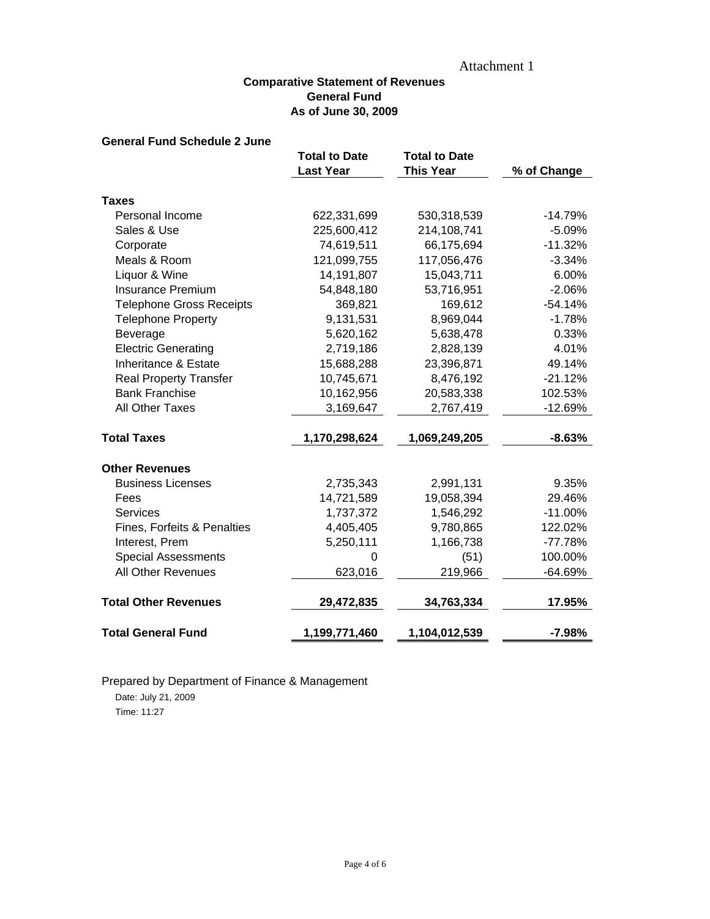## Attachment 1

### **Comparative Statement of Revenues General Fund As of June 30, 2009**

### **General Fund Schedule 2 June**

|                                 | <b>Total to Date</b><br><b>Last Year</b> | <b>Total to Date</b><br><b>This Year</b> | % of Change |
|---------------------------------|------------------------------------------|------------------------------------------|-------------|
|                                 |                                          |                                          |             |
| <b>Taxes</b>                    |                                          |                                          |             |
| Personal Income                 | 622,331,699                              | 530,318,539                              | $-14.79%$   |
| Sales & Use                     | 225,600,412                              | 214,108,741                              | $-5.09%$    |
| Corporate                       | 74,619,511                               | 66,175,694                               | $-11.32%$   |
| Meals & Room                    | 121,099,755                              | 117,056,476                              | $-3.34%$    |
| Liquor & Wine                   | 14,191,807                               | 15,043,711                               | 6.00%       |
| <b>Insurance Premium</b>        | 54,848,180                               | 53,716,951                               | $-2.06%$    |
| <b>Telephone Gross Receipts</b> | 369,821                                  | 169,612                                  | $-54.14%$   |
| <b>Telephone Property</b>       | 9,131,531                                | 8,969,044                                | $-1.78%$    |
| Beverage                        | 5,620,162                                | 5,638,478                                | 0.33%       |
| <b>Electric Generating</b>      | 2,719,186                                | 2,828,139                                | 4.01%       |
| Inheritance & Estate            | 15,688,288                               | 23,396,871                               | 49.14%      |
| <b>Real Property Transfer</b>   | 10,745,671                               | 8,476,192                                | $-21.12%$   |
| <b>Bank Franchise</b>           | 10,162,956                               | 20,583,338                               | 102.53%     |
| All Other Taxes                 | 3,169,647                                | 2,767,419                                | $-12.69%$   |
| <b>Total Taxes</b>              | 1,170,298,624                            | 1,069,249,205                            | $-8.63%$    |
| <b>Other Revenues</b>           |                                          |                                          |             |
| <b>Business Licenses</b>        | 2,735,343                                | 2,991,131                                | 9.35%       |
| Fees                            | 14,721,589                               | 19,058,394                               | 29.46%      |
| <b>Services</b>                 | 1,737,372                                | 1,546,292                                | $-11.00%$   |
| Fines, Forfeits & Penalties     | 4,405,405                                | 9,780,865                                | 122.02%     |
| Interest, Prem                  | 5,250,111                                | 1,166,738                                | $-77.78%$   |
| <b>Special Assessments</b>      | 0                                        | (51)                                     | 100.00%     |
| All Other Revenues              | 623,016                                  | 219,966                                  | -64.69%     |
| <b>Total Other Revenues</b>     | 29,472,835                               | 34,763,334                               | 17.95%      |
| <b>Total General Fund</b>       | 1,199,771,460                            | 1,104,012,539                            | $-7.98%$    |

# Prepared by Department of Finance & Management

Date: July 21, 2009 Time: 11:27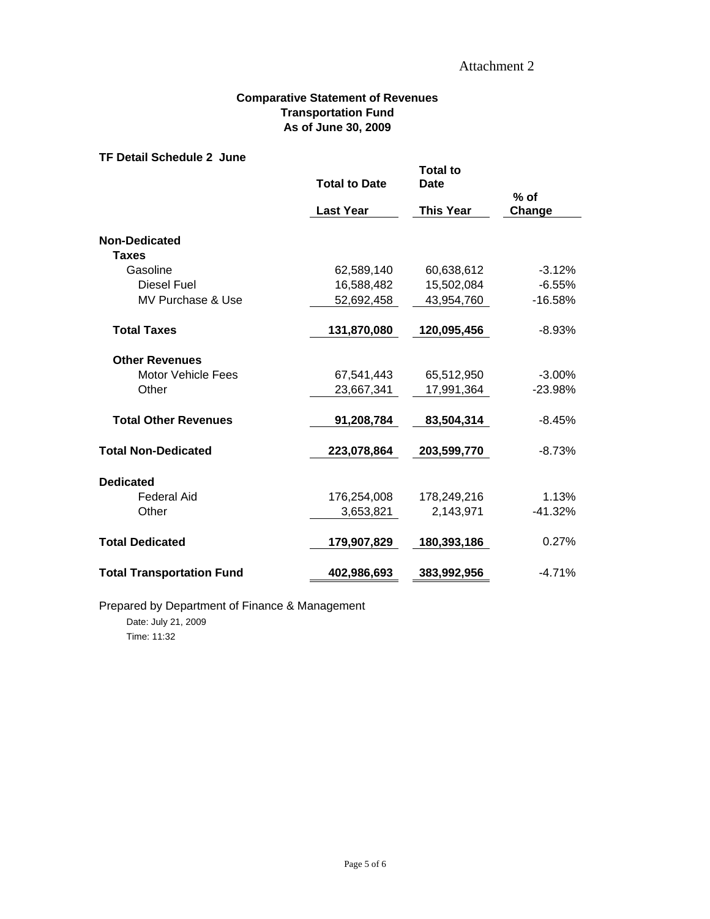### **Comparative Statement of Revenues Transportation Fund As of June 30, 2009**

#### **TF Detail Schedule 2 June**

|                                  | <b>Total to Date</b> | <b>Total to</b><br><b>Date</b> |                  |  |  |
|----------------------------------|----------------------|--------------------------------|------------------|--|--|
|                                  | <b>Last Year</b>     | <b>This Year</b>               | $%$ of<br>Change |  |  |
| <b>Non-Dedicated</b>             |                      |                                |                  |  |  |
| <b>Taxes</b>                     |                      |                                |                  |  |  |
| Gasoline                         | 62,589,140           | 60,638,612                     | $-3.12%$         |  |  |
| <b>Diesel Fuel</b>               | 16,588,482           | 15,502,084                     | $-6.55%$         |  |  |
| MV Purchase & Use                | 52,692,458           | 43,954,760                     | $-16.58%$        |  |  |
| <b>Total Taxes</b>               | 131,870,080          | 120,095,456                    | $-8.93%$         |  |  |
| <b>Other Revenues</b>            |                      |                                |                  |  |  |
| Motor Vehicle Fees               | 67,541,443           | 65,512,950                     | $-3.00%$         |  |  |
| Other                            | 23,667,341           | 17,991,364                     | $-23.98%$        |  |  |
| <b>Total Other Revenues</b>      | 91,208,784           | 83,504,314                     | $-8.45%$         |  |  |
| <b>Total Non-Dedicated</b>       | 223,078,864          | 203,599,770                    | $-8.73%$         |  |  |
| <b>Dedicated</b>                 |                      |                                |                  |  |  |
| <b>Federal Aid</b>               | 176,254,008          | 178,249,216                    | 1.13%            |  |  |
| Other                            | 3,653,821            | 2,143,971                      | $-41.32%$        |  |  |
| <b>Total Dedicated</b>           | 179,907,829          | 180,393,186                    | 0.27%            |  |  |
| <b>Total Transportation Fund</b> | 402,986,693          | 383,992,956                    | $-4.71%$         |  |  |

Page 5 of 6

Prepared by Department of Finance & Management Date: July 21, 2009 Time: 11:32